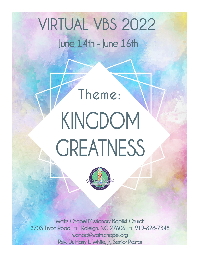# **VIRTUAL VBS 2022** June 14th - June 16th

# Theme: KINGDOM **GREATNESS**

**Watts Chapel Missionary Baptist Church** 3703 Tryon Road a Raleigh, NC 27606 a 919-828-7348 wcmbc@wattschapel.org Rev. Dr. Harry L. White, Jr., Senior Pastor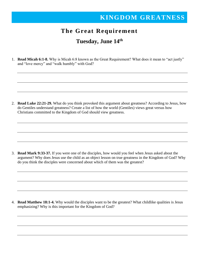#### **The Great Requirement**

#### **Tuesday, June 14 th**

1. **Read Micah 6:1-8.** Why is Micah 6:8 known as the Great Requirement? What does it mean to "act justly" and "love mercy" and "walk humbly" with God?

2. **Read Luke 22:21-29.** What do you think provoked this argument about greatness? According to Jesus, how do Gentiles understand greatness? Create a list of how the world (Gentiles) views great versus how Christians committed to the Kingdom of God should view greatness.

3. **Read Mark 9:33-37.** If you were one of the disciples, how would you feel when Jesus asked about the argument? Why does Jesus use the child as an object lesson on true greatness in the Kingdom of God? Why do you think the disciples were concerned about which of them was the greatest?

4. **Read Matthew 18:1-4.** Why would the disciples want to be the greatest? What childlike qualities is Jesus emphasizing? Why is this important for the Kingdom of God?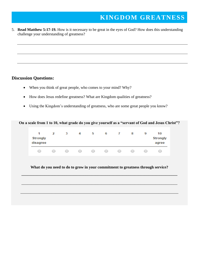5. **Read Matthew 5:17-19.** How is it necessary to be great in the eyes of God? How does this understanding challenge your understanding of greatness?

#### **Discussion Questions:**

- When you think of great people, who comes to your mind? Why?
- How does Jesus redefine greatness? What are Kingdom qualities of greatness?
- Using the Kingdom's understanding of greatness, who are some great people you know?

#### **On a scale from 1 to 10, what grade do you give yourself as a "servant of God and Jesus Christ"?**



**What do you need to do to grow in your commitment to greatness through service?**

**\_\_\_\_\_\_\_\_\_\_\_\_\_\_\_\_\_\_\_\_\_\_\_\_\_\_\_\_\_\_\_\_\_\_\_\_\_\_\_\_\_\_\_\_\_\_\_\_\_\_\_\_\_\_\_\_\_\_\_\_\_\_\_\_\_\_\_\_\_\_\_\_\_\_\_\_\_\_\_\_**

\_\_\_\_\_\_\_\_\_\_\_\_\_\_\_\_\_\_\_\_\_\_\_\_\_\_\_\_\_\_\_\_\_\_\_\_\_\_\_\_\_\_\_\_\_\_\_\_\_\_\_\_\_\_\_\_\_\_\_\_\_\_\_\_\_\_\_\_\_\_\_\_\_\_\_\_\_\_\_\_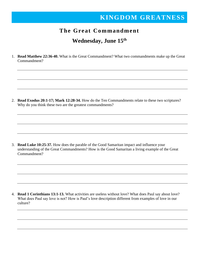#### **The Great Commandment**

#### **Wednesday, June 15th**

1. **Read Matthew 22:36-40.** What is the Great Commandment? What two commandments make up the Great Commandment?

2. **Read Exodus 20:1-17; Mark 12:28-34.** How do the Ten Commandments relate to these two scriptures? Why do you think these two are the greatest commandments?

3. **Read Luke 10:25-37.** How does the parable of the Good Samaritan impact and influence your understanding of the Great Commandments? How is the Good Samaritan a living example of the Great Commandment?

4. **Read 1 Corinthians 13:1-13.** What activities are useless without love? What does Paul say about love? What does Paul say love is not? How is Paul's love description different from examples of love in our culture?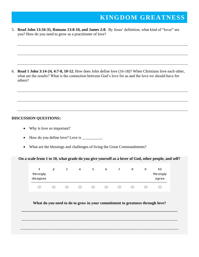5. **Read John 13:34-35, Romans 13:8-10, and James 2:8.** By Jesus' definition, what kind of "lover" are you? How do you need to grow as a practitioner of love?

6. **Read 1 John 3:14-24, 4:7-8, 10-12.** How does John define love (16-18)? When Christians love each other, what are the results? What is the connection between God's love for us and the love we should have for others?

#### **DISCUSSION QUESTIONS:**

- Why is love so important?
- How do you define love? Love is \_\_\_\_\_\_\_\_\_.
- What are the blessings and challenges of living the Great Commandments?

**On a scale from 1 to 10, what grade do you give yourself as a lover of God, other people, and self?**

| 1<br><b>Strongly</b><br>disagree | 2          | 3          | 4                         | ь          | 6          |            | 8          | 9          | 10<br><b>Strongly</b><br>agree |
|----------------------------------|------------|------------|---------------------------|------------|------------|------------|------------|------------|--------------------------------|
| $\bigcirc$                       | $\bigcirc$ | $\bigcirc$ | $\bigcirc$ and $\bigcirc$ | $\bigcirc$ | $\bigcirc$ | $\bigcirc$ | $\bigcirc$ | $\bigcirc$ |                                |

#### **What do you need to do to grow in your commitment to greatness through love?**

**\_\_\_\_\_\_\_\_\_\_\_\_\_\_\_\_\_\_\_\_\_\_\_\_\_\_\_\_\_\_\_\_\_\_\_\_\_\_\_\_\_\_\_\_\_\_\_\_\_\_\_\_\_\_\_\_\_\_\_\_\_\_\_\_\_\_\_\_\_\_\_\_\_\_\_\_\_\_\_\_**

\_\_\_\_\_\_\_\_\_\_\_\_\_\_\_\_\_\_\_\_\_\_\_\_\_\_\_\_\_\_\_\_\_\_\_\_\_\_\_\_\_\_\_\_\_\_\_\_\_\_\_\_\_\_\_\_\_\_\_\_\_\_\_\_\_\_\_\_\_\_\_\_\_\_\_\_\_\_\_\_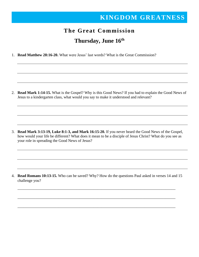# **The Great Commission Thursday, June 16th**

1. **Read Matthew 28:16-20.** What were Jesus' last words? What is the Great Commission?

2. **Read Mark 1:14-15.** What is the Gospel? Why is this Good News? If you had to explain the Good News of Jesus to a kindergarten class, what would you say to make it understood and relevant?

3. **Read Mark 3:13-19, Luke 8:1-3, and Mark 16:15-20.** If you never heard the Good News of the Gospel, how would your life be different? What does it mean to be a disciple of Jesus Christ? What do you see as your role in spreading the Good News of Jesus?

4. **Read Romans 10:13-15.** Who can be saved? Why? How do the questions Paul asked in verses 14 and 15 challenge you?

\_\_\_\_\_\_\_\_\_\_\_\_\_\_\_\_\_\_\_\_\_\_\_\_\_\_\_\_\_\_\_\_\_\_\_\_\_\_\_\_\_\_\_\_\_\_\_\_\_\_\_\_\_\_\_\_\_\_\_\_\_\_\_\_\_\_\_\_\_\_\_\_\_\_\_\_\_\_\_\_\_

\_\_\_\_\_\_\_\_\_\_\_\_\_\_\_\_\_\_\_\_\_\_\_\_\_\_\_\_\_\_\_\_\_\_\_\_\_\_\_\_\_\_\_\_\_\_\_\_\_\_\_\_\_\_\_\_\_\_\_\_\_\_\_\_\_\_\_\_\_\_\_\_\_\_\_\_\_\_\_\_\_